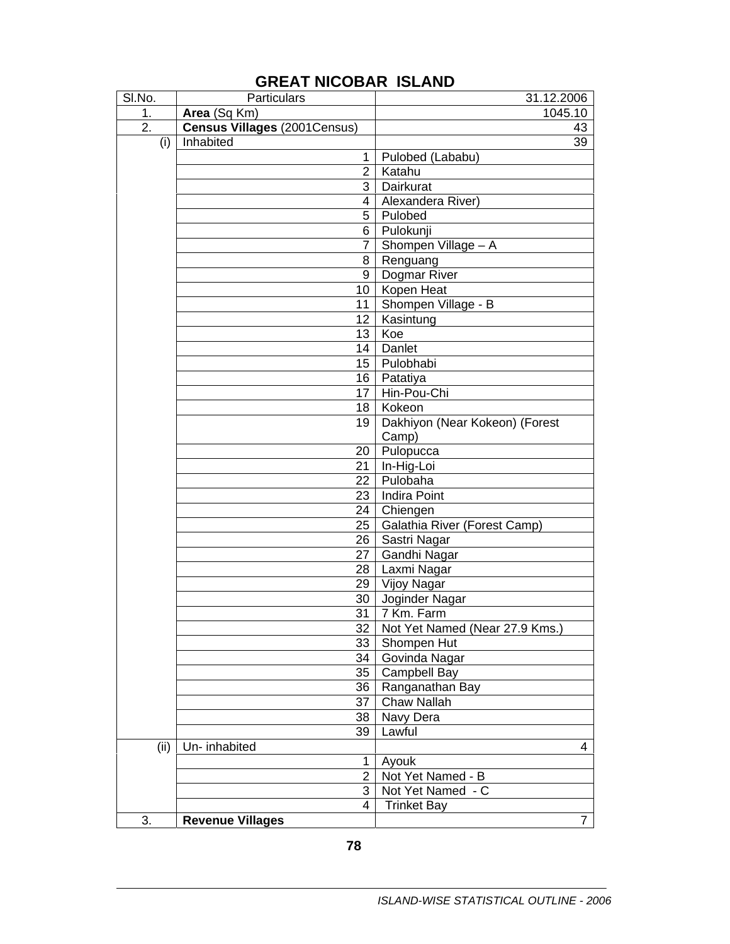| SI.No.           | Particulars                  | 31.12.2006                          |
|------------------|------------------------------|-------------------------------------|
| 1.               | Area (Sq Km)                 | 1045.10                             |
| $\overline{2}$ . | Census Villages (2001Census) | 43                                  |
| (i)              | Inhabited                    | 39                                  |
|                  | 1                            | Pulobed (Lababu)                    |
|                  | $\overline{2}$               | Katahu                              |
|                  | 3                            | Dairkurat                           |
|                  | 4                            | Alexandera River)                   |
|                  | 5                            | Pulobed                             |
|                  | 6                            | Pulokunji                           |
|                  | 7.                           | Shompen Village - A                 |
|                  | 8                            | Renguang                            |
|                  | 9                            | Dogmar River                        |
|                  | 10 <sup>°</sup>              | Kopen Heat                          |
|                  | 11                           | Shompen Village - B                 |
|                  | 12 <sub>2</sub>              | Kasintung                           |
|                  | 13                           | Koe                                 |
|                  | 14                           | Danlet                              |
|                  | 15 <sub>1</sub>              | Pulobhabi                           |
|                  | 16                           | Patatiya                            |
|                  | 17                           | Hin-Pou-Chi                         |
|                  | 18                           | Kokeon                              |
|                  | 19                           | Dakhiyon (Near Kokeon) (Forest      |
|                  |                              | Camp)                               |
|                  | 20 <sup>1</sup>              | Pulopucca                           |
|                  | 21                           | In-Hig-Loi                          |
|                  | 22 <sub>1</sub>              | Pulobaha                            |
|                  | 23 <sub>1</sub>              | <b>Indira Point</b>                 |
|                  | 24 <sup>1</sup>              | Chiengen                            |
|                  | $25\,$                       | Galathia River (Forest Camp)        |
|                  | 26                           | Sastri Nagar                        |
|                  | 27                           | Gandhi Nagar                        |
|                  | 28                           | Laxmi Nagar                         |
|                  | 29                           | Vijoy Nagar                         |
|                  | 30 <sup>1</sup>              | Joginder Nagar                      |
|                  |                              | $31$ 7 Km. Farm                     |
|                  |                              | 32   Not Yet Named (Near 27.9 Kms.) |
|                  | 33                           | Shompen Hut                         |
|                  | 34                           | Govinda Nagar                       |
|                  | 35                           | Campbell Bay                        |
|                  | 36                           | Ranganathan Bay                     |
|                  | 37                           | Chaw Nallah                         |
|                  | 38                           | Navy Dera                           |
|                  | 39                           | Lawful                              |
| (ii)             | Un- inhabited                | 4                                   |
|                  | 1                            | Ayouk                               |
|                  | $\overline{2}$               | Not Yet Named - B                   |
|                  | $\overline{3}$               | Not Yet Named - C                   |
|                  | 4                            | <b>Trinket Bay</b>                  |
| 3.               | <b>Revenue Villages</b>      | 7                                   |

## **GREAT NICOBAR ISLAND**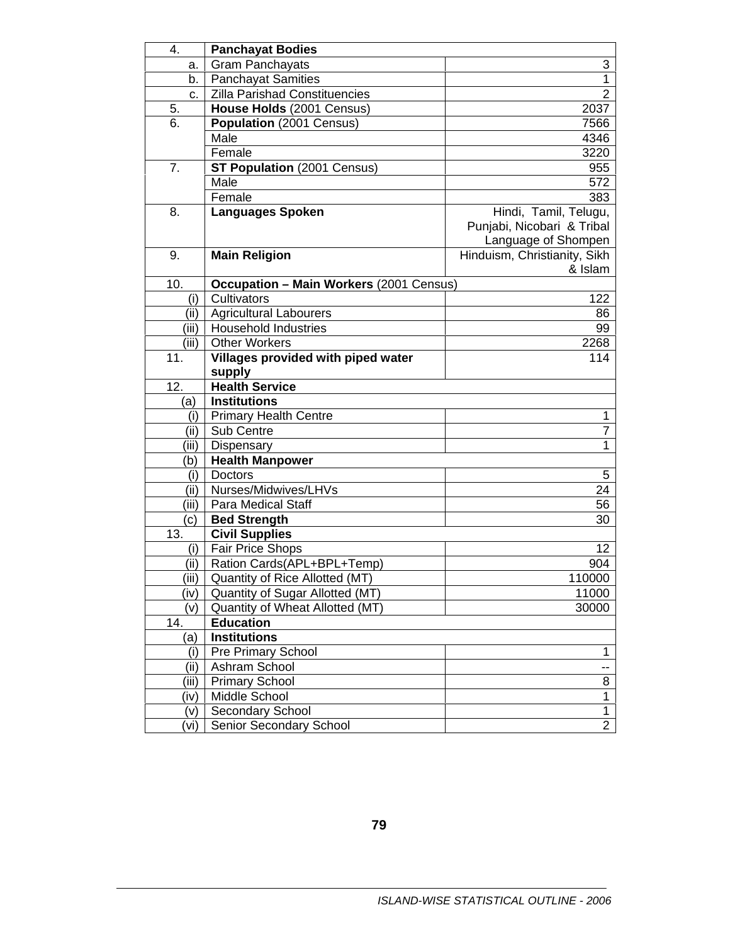| 4.             | <b>Panchayat Bodies</b>                        |                              |
|----------------|------------------------------------------------|------------------------------|
| а.             | <b>Gram Panchayats</b>                         | 3                            |
| b.             | <b>Panchayat Samities</b>                      | 1                            |
| c.             | <b>Zilla Parishad Constituencies</b>           | 2                            |
| 5.             | House Holds (2001 Census)                      | 2037                         |
| 6.             | Population (2001 Census)                       | 7566                         |
|                | Male                                           | 4346                         |
|                | Female                                         | 3220                         |
| 7 <sub>1</sub> | <b>ST Population (2001 Census)</b>             | 955                          |
|                | Male                                           | 572                          |
|                | Female                                         | 383                          |
| 8.             | <b>Languages Spoken</b>                        | Hindi, Tamil, Telugu,        |
|                |                                                | Punjabi, Nicobari & Tribal   |
|                |                                                | Language of Shompen          |
| 9.             | <b>Main Religion</b>                           | Hinduism, Christianity, Sikh |
|                |                                                | & Islam                      |
| 10.            | <b>Occupation - Main Workers (2001 Census)</b> |                              |
| (i)            | Cultivators                                    | 122                          |
| (ii)           | <b>Agricultural Labourers</b>                  | 86                           |
| (iii)          | <b>Household Industries</b>                    | 99                           |
| (iii)          | <b>Other Workers</b>                           | 2268                         |
| 11.            | Villages provided with piped water             | 114                          |
|                | supply                                         |                              |
| 12.            | <b>Health Service</b>                          |                              |
| (a)            | <b>Institutions</b>                            |                              |
| (i)            | <b>Primary Health Centre</b>                   | 1                            |
| (iii)          | Sub Centre                                     | 7                            |
| (iii)          | Dispensary                                     | 1                            |
| (b)            | <b>Health Manpower</b>                         |                              |
| (i)            | <b>Doctors</b>                                 | 5                            |
| (iii)          | Nurses/Midwives/LHVs                           | 24                           |
| (iii)          | <b>Para Medical Staff</b>                      | 56                           |
| (c)            | <b>Bed Strength</b>                            | 30                           |
| 13.            | <b>Civil Supplies</b>                          |                              |
| (i)            | <b>Fair Price Shops</b>                        | 12                           |
| (ii)           | Ration Cards(APL+BPL+Temp)                     | 904                          |
| (iii)          | Quantity of Rice Allotted (MT)                 | 110000                       |
| (iv)           | Quantity of Sugar Allotted (MT)                | 11000                        |
| (v)            | Quantity of Wheat Allotted (MT)                | 30000                        |
| 14.            | <b>Education</b>                               |                              |
| (a)            | <b>Institutions</b>                            |                              |
| (i)            | Pre Primary School                             | 1                            |
| (iii)          | Ashram School                                  | --                           |
| (iii)          | <b>Primary School</b>                          | 8                            |
| (iv)           | Middle School                                  | 1                            |
| (v)            | Secondary School                               | $\mathbf{1}$                 |
| (vi)           | Senior Secondary School                        | $\overline{2}$               |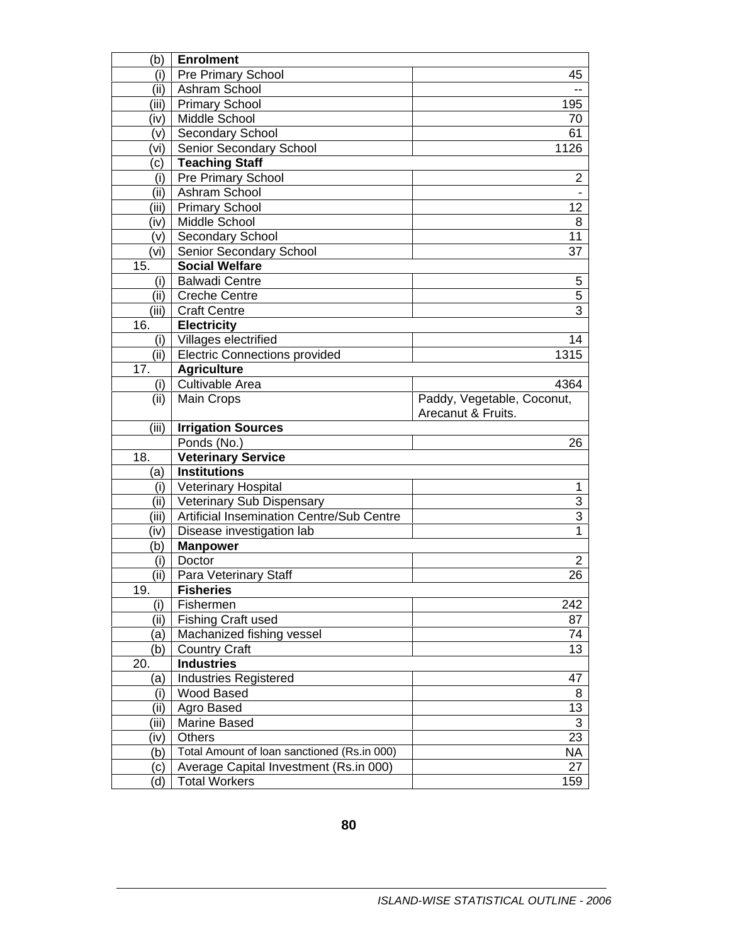| (b)        | <b>Enrolment</b>                                               |                            |
|------------|----------------------------------------------------------------|----------------------------|
| (i)        | <b>Pre Primary School</b>                                      | 45                         |
| (ii)       | Ashram School                                                  |                            |
| (iii)      | <b>Primary School</b>                                          | 195                        |
| (iv)       | Middle School                                                  | 70                         |
| (v)        | <b>Secondary School</b>                                        | 61                         |
| (vi)       | Senior Secondary School                                        | 1126                       |
| (c)        | <b>Teaching Staff</b>                                          |                            |
| (i)        | <b>Pre Primary School</b>                                      | $\overline{2}$             |
| (ii)       | Ashram School                                                  |                            |
| (iii)      | <b>Primary School</b>                                          | 12                         |
| (iv)       | Middle School                                                  | 8                          |
| (v)        | <b>Secondary School</b>                                        | 11                         |
| (vi)       | Senior Secondary School                                        | 37                         |
| 15.        | <b>Social Welfare</b>                                          |                            |
| (i)        | <b>Balwadi Centre</b>                                          | 5                          |
| (ii)       | <b>Creche Centre</b>                                           | $\overline{5}$             |
| (iii)      | <b>Craft Centre</b>                                            | $\overline{3}$             |
| 16.        | <b>Electricity</b>                                             |                            |
|            | (i) Villages electrified                                       | 14                         |
|            | (ii)   Electric Connections provided                           | 1315                       |
| 17.        | <b>Agriculture</b>                                             |                            |
| (i)        | Cultivable Area                                                | 4364                       |
| (ii)       | <b>Main Crops</b>                                              | Paddy, Vegetable, Coconut, |
|            |                                                                | Arecanut & Fruits.         |
|            |                                                                |                            |
| (iii)      | <b>Irrigation Sources</b>                                      |                            |
|            | Ponds (No.)                                                    | 26                         |
| 18.        | <b>Veterinary Service</b>                                      |                            |
| (a)        | <b>Institutions</b>                                            |                            |
| (i)        | <b>Veterinary Hospital</b>                                     | 1                          |
| (ii)       | <b>Veterinary Sub Dispensary</b>                               | 3                          |
| (iii)      | <b>Artificial Insemination Centre/Sub Centre</b>               | 3                          |
| (iv)       | Disease investigation lab                                      | 1                          |
| (b)        | <b>Manpower</b>                                                |                            |
| (i)        | Doctor                                                         | 2                          |
| (ii)       | Para Veterinary Staff                                          | 26                         |
| 19.        | <b>Fisheries</b>                                               |                            |
| (i)        | Fishermen                                                      | 242                        |
| (ii)       | <b>Fishing Craft used</b>                                      | 87                         |
| (a)        | Machanized fishing vessel                                      | 74                         |
| (b)        | <b>Country Craft</b>                                           | 13                         |
| 20.        | <b>Industries</b>                                              |                            |
| (a)        | <b>Industries Registered</b>                                   | 47                         |
| (i)        | <b>Wood Based</b>                                              | 8                          |
| (ii)       | Agro Based                                                     | 13                         |
| (iii)      | Marine Based                                                   | 3                          |
| (iv)       | <b>Others</b>                                                  | 23                         |
| (b)        | Total Amount of Ioan sanctioned (Rs.in 000)                    | ΝA                         |
| (c)<br>(d) | Average Capital Investment (Rs.in 000)<br><b>Total Workers</b> | 27<br>159                  |